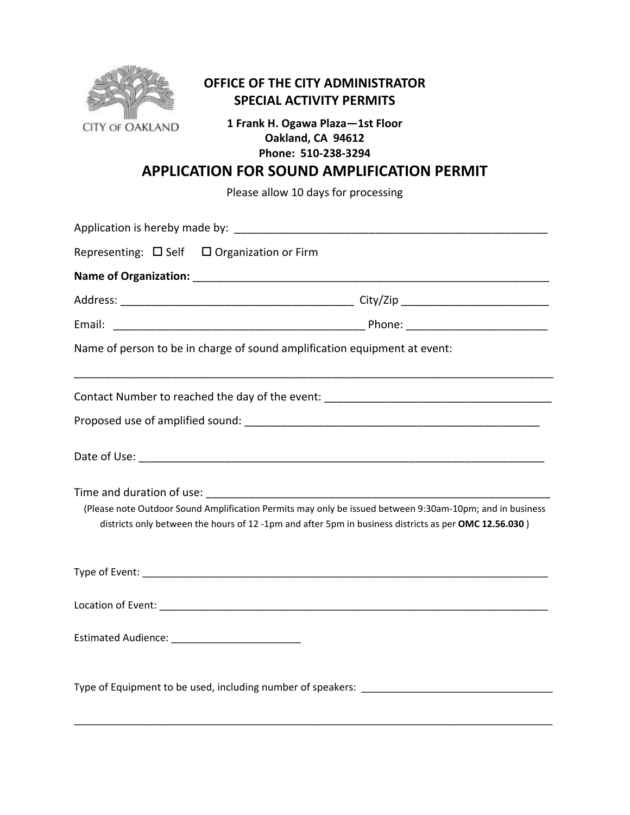

## **OFFICE OF THE CITY ADMINISTRATOR SPECIAL ACTIVITY PERMITS**

**1 Frank H. Ogawa Plaza—1st Floor Oakland, CA 94612 Phone: 510‐238‐3294**

## **APPLICATION FOR SOUND AMPLIFICATION PERMIT**

Please allow 10 days for processing

| Representing: $\Box$ Self $\Box$ Organization or Firm                                                                                                                                                                         |  |  |  |  |  |
|-------------------------------------------------------------------------------------------------------------------------------------------------------------------------------------------------------------------------------|--|--|--|--|--|
|                                                                                                                                                                                                                               |  |  |  |  |  |
|                                                                                                                                                                                                                               |  |  |  |  |  |
|                                                                                                                                                                                                                               |  |  |  |  |  |
| Name of person to be in charge of sound amplification equipment at event:                                                                                                                                                     |  |  |  |  |  |
| Contact Number to reached the day of the event: _________________________________                                                                                                                                             |  |  |  |  |  |
|                                                                                                                                                                                                                               |  |  |  |  |  |
|                                                                                                                                                                                                                               |  |  |  |  |  |
| (Please note Outdoor Sound Amplification Permits may only be issued between 9:30am-10pm; and in business<br>districts only between the hours of 12 -1pm and after 5pm in business districts as per OMC 12.56.030)             |  |  |  |  |  |
| Type of Event: New York State State State State State State State State State State State State State State State State State State State State State State State State State State State State State State State State State |  |  |  |  |  |
|                                                                                                                                                                                                                               |  |  |  |  |  |
| Estimated Audience: _________________________                                                                                                                                                                                 |  |  |  |  |  |
| Type of Equipment to be used, including number of speakers: ___________________________                                                                                                                                       |  |  |  |  |  |

\_\_\_\_\_\_\_\_\_\_\_\_\_\_\_\_\_\_\_\_\_\_\_\_\_\_\_\_\_\_\_\_\_\_\_\_\_\_\_\_\_\_\_\_\_\_\_\_\_\_\_\_\_\_\_\_\_\_\_\_\_\_\_\_\_\_\_\_\_\_\_\_\_\_\_\_\_\_\_\_\_\_\_\_\_